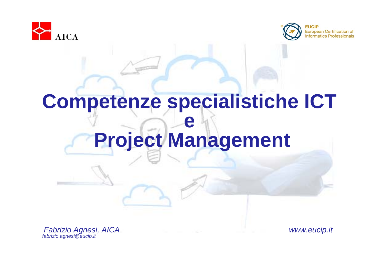



#### **Competenze specialistiche ICT e Project Management**

*Fabrizio Agnesi, AICA www.eucip.it fabrizio.agnesi@eucip.it*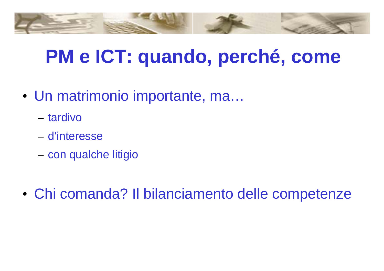## **PM e ICT: quando, perché, come**

- Un matrimonio importante, ma…
	- tardivo
	- d'interesse
	- con qualche litigio
- Chi comanda? Il bilanciamento delle competenze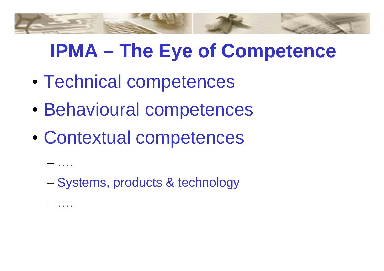### **IPMA – The Eye of Competence**

- Technical competences
- Behavioural competences
- Contextual competences

– ….

– ….

– Systems, products & technology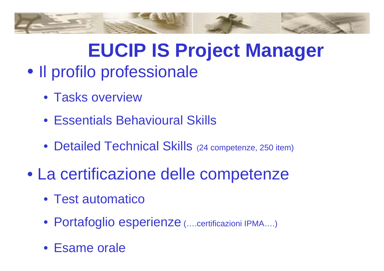

## **EUCIP IS Project Manager**

#### • Il profilo professionale

- Tasks overview
- Essentials Behavioural Skills
- Detailed Technical Skills (24 competenze, 250 item)
- La certificazione delle competenze
	- Test automatico
	- Portafoglio esperienze (....certificazioni IPMA....)
	- Esame orale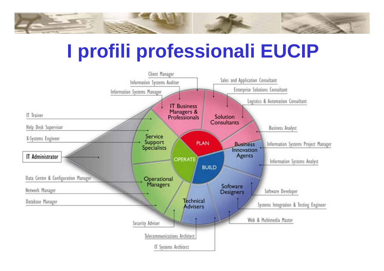

### **I profili professionali EUCIP**

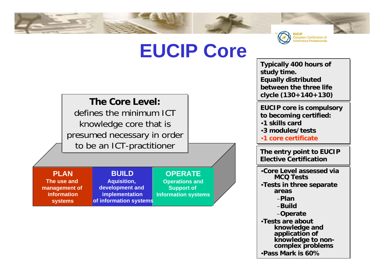



**Typically 400 hours of Typically 400 hours of study time. study time. Equally distributed Equally distributed between the three life between the three life clycle (130+140+130) clycle (130+140+130)**

**EUCIP core is compulsory EUCIP core is compulsory to becoming certified: to becoming certified:** •**1 skills card**•**1 skills card**•**3 modules/tests**•**3 modules/tests**

•**1 core certificate**•**1 core certificate**

**The entry point to EUCIP The entry point to EUCIP Elective Certification Elective Certification**

•**Core Level assessed via** •**Core Level assessed via MCQ Tests MCQ Tests**•**Tests in three separate**  •**Tests in three separate areas areas**–**Plan**–**Plan**–**Build**–**Build**

–**Operate** –**Operate** •**Tests are about** •**Tests are about knowledge and knowledge and application of application of knowledge to non-knowledge to noncomplex problems complex problems**

•**Pass Mark is 60%**•**Pass Mark is 60%**

#### **The Core Level: The Core Level:**

defines the minimum ICT knowledge core that is knowledge core that is presumed necessary in order presumed necessary in order to be an ICT-practitioner to be an ICT-practitioner

> **BUILDAquisition, development and implementation**

**PLANThe use and management of** 

**informationsystems**

**OPERATE**

**Operations and Support of Information systems of information systems**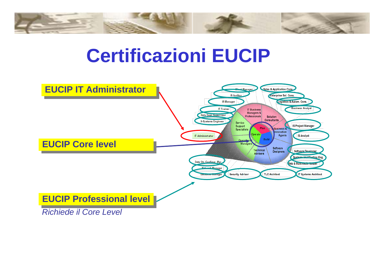

#### **Certificazioni EUCIP**

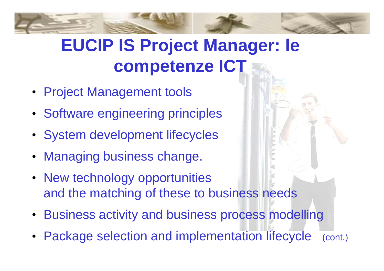#### **EUCIP IS Project Manager: le competenze ICT**

- Project Management tools
- Software engineering principles
- System development lifecycles
- Managing business change.
- New technology opportunities and the matching of these to business needs
- Business activity and business process modelling
- Package selection and implementation lifecycle (cont.)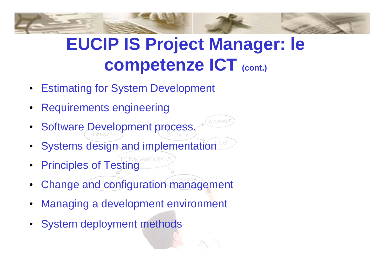#### **EUCIP IS Project Manager: le competenze ICT (cont.)**

**NOON** 

- **Estimating for System Development**
- Requirements engineering
- Software Development process.
- Systems design and implementation
- **Principles of Testing**
- Change and configuration management
- Managing a development environment
- System deployment methods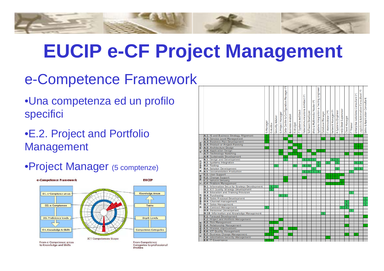# **EUCIP e-CF Project Management**

#### e-Competence Framework

- •Una competenza ed un profilo specifici
- •E.2. Project and Portfolio Management
- •Project Manager (5 comptenze)



|                  |                                                          | <b>IS Manager</b> | Auditor<br>$\overline{S}$ | Security Adviser | Project Manager<br>$\overline{5}$ | Manager (*<br>Data Centre & Configuration | <b>Business Analyst</b> | <b>IS Analyst</b> | IT Systems Architect | Telecommunications Architect (*) | Software Developer | Web & Multimedia Master (*) | Engineer<br>& Testing<br>Systems Integration | Database Manager | IT Administrator (**) | Network Manager (*) | X-Systems Engineer | Help Desk Supervisor | Client Manager | <b>IT Trainer</b> | Enterprise Solutions Consultant (*) | £<br>Logistics & Automation Consultant | Sales & Application Consultant |
|------------------|----------------------------------------------------------|-------------------|---------------------------|------------------|-----------------------------------|-------------------------------------------|-------------------------|-------------------|----------------------|----------------------------------|--------------------|-----------------------------|----------------------------------------------|------------------|-----------------------|---------------------|--------------------|----------------------|----------------|-------------------|-------------------------------------|----------------------------------------|--------------------------------|
|                  | A.1. IS and Business Strategy Alignment                  |                   |                           |                  |                                   |                                           |                         |                   |                      |                                  |                    |                             |                                              |                  |                       |                     |                    |                      |                |                   |                                     |                                        |                                |
| <b>PLAN</b><br>d | A.2. Service Level Management                            |                   |                           |                  |                                   |                                           |                         |                   |                      |                                  |                    |                             |                                              |                  |                       |                     |                    |                      |                |                   |                                     |                                        |                                |
|                  | A.3. Business Plan Development                           |                   |                           |                  |                                   |                                           |                         |                   |                      |                                  |                    |                             |                                              |                  |                       |                     |                    |                      |                |                   |                                     |                                        |                                |
|                  | A.4. Product or Project Planning                         |                   |                           |                  |                                   |                                           |                         |                   | ٦                    |                                  |                    |                             |                                              |                  |                       |                     |                    |                      |                |                   |                                     |                                        |                                |
|                  | A.5. Architecture Design                                 |                   |                           |                  |                                   |                                           |                         |                   | 1                    |                                  |                    |                             |                                              |                  |                       |                     |                    |                      |                |                   |                                     |                                        |                                |
|                  | A.6. Application Design                                  |                   |                           |                  |                                   |                                           |                         | ī                 |                      |                                  | 1                  |                             |                                              |                  |                       |                     |                    |                      |                |                   |                                     |                                        |                                |
|                  | A.7. Technology Watching<br>A.8. Sustainable Development |                   |                           |                  |                                   |                                           |                         |                   | ī                    |                                  |                    |                             |                                              |                  |                       |                     |                    |                      |                |                   |                                     |                                        |                                |
| B. BUILD         | <b>B.1</b> . Design and Development                      |                   |                           |                  |                                   | $\mathbf{1}$                              |                         |                   |                      | 1                                | ı                  | ı                           |                                              |                  |                       | ı                   | $\mathbf{1}$       |                      |                |                   |                                     |                                        |                                |
|                  | <b>B.2</b> . Systems Integration                         |                   |                           |                  |                                   |                                           |                         |                   |                      |                                  |                    |                             | ı                                            |                  | ı                     |                     | ı                  |                      |                |                   |                                     |                                        |                                |
|                  | <b>B.3</b> . Testing                                     |                   |                           |                  |                                   |                                           |                         | 1                 |                      | ı                                | ı                  |                             | ı                                            |                  |                       |                     |                    |                      |                |                   |                                     |                                        |                                |
|                  | <b>B.4.</b> Solution Development                         |                   |                           |                  |                                   |                                           |                         |                   |                      |                                  |                    | ı                           |                                              |                  |                       |                     | 1                  |                      |                |                   |                                     |                                        |                                |
|                  | <b>B.5</b> . Documentation Production                    |                   |                           |                  |                                   |                                           |                         |                   |                      | ı                                | ı                  | ī                           | ı                                            |                  |                       |                     |                    |                      |                | ı                 |                                     |                                        |                                |
| <b>RUN</b>       | C.1. User Support                                        |                   |                           |                  |                                   |                                           |                         |                   |                      |                                  |                    |                             |                                              |                  |                       |                     | 1                  |                      |                |                   |                                     |                                        |                                |
|                  | C.2. Change Support                                      |                   |                           |                  |                                   |                                           |                         |                   |                      |                                  |                    |                             |                                              |                  |                       | ı                   | ī                  |                      |                |                   |                                     |                                        |                                |
|                  | <b>C.3.</b> Service Delivery                             |                   |                           |                  |                                   |                                           |                         |                   |                      |                                  |                    |                             |                                              |                  |                       |                     |                    |                      |                |                   |                                     |                                        |                                |
| ن                | C.4. Problem Management                                  |                   |                           |                  |                                   |                                           |                         |                   |                      |                                  |                    |                             |                                              |                  |                       |                     |                    | 1                    |                |                   |                                     |                                        |                                |
| ENABLE<br>ة      | <b>D.1.</b> Information Security Strategy Development    |                   |                           |                  |                                   |                                           |                         |                   |                      |                                  |                    |                             |                                              |                  |                       |                     |                    |                      |                |                   |                                     |                                        |                                |
|                  | <b>D.2. ICT Quality Strategy Development</b>             |                   |                           |                  |                                   |                                           |                         |                   |                      |                                  |                    |                             |                                              |                  |                       |                     |                    |                      |                |                   |                                     |                                        |                                |
|                  | <b>D.3.</b> Education and Training Provision             |                   |                           |                  |                                   |                                           |                         |                   |                      |                                  |                    |                             |                                              |                  |                       |                     |                    |                      |                |                   |                                     |                                        |                                |
|                  | D.4. Purchasing                                          |                   |                           |                  | ı                                 | ı                                         |                         |                   |                      |                                  |                    |                             |                                              |                  |                       |                     |                    |                      |                |                   |                                     |                                        |                                |
|                  | <b>D.5</b> . Sales Proposal Development                  |                   |                           |                  |                                   |                                           |                         |                   |                      |                                  |                    |                             |                                              |                  |                       |                     |                    |                      |                |                   |                                     |                                        |                                |
|                  | D.6. Channel management<br><b>D.7</b> . Sales Management |                   |                           |                  |                                   |                                           |                         |                   |                      |                                  |                    |                             |                                              |                  |                       |                     |                    |                      | ı<br>ı         |                   |                                     |                                        | ı<br>ī                         |
|                  | <b>D.8</b> . Contract Management                         | ı                 |                           |                  |                                   |                                           |                         |                   |                      |                                  |                    |                             |                                              |                  |                       |                     |                    | ı                    | ı              |                   |                                     |                                        |                                |
|                  | <b>D.9</b> . Personnel Development                       |                   |                           |                  |                                   |                                           |                         |                   |                      |                                  |                    |                             |                                              |                  |                       |                     |                    |                      |                |                   |                                     |                                        |                                |
|                  | D.10. Information and Knowledge Management               |                   |                           |                  |                                   |                                           |                         |                   |                      |                                  |                    |                             |                                              | ı                |                       |                     |                    |                      |                |                   |                                     |                                        |                                |
| MANAGE<br>۵Ĵ     | <b>E.1.</b> Forecast Development                         |                   |                           |                  |                                   |                                           |                         |                   |                      |                                  |                    |                             |                                              |                  |                       |                     |                    |                      |                |                   |                                     |                                        |                                |
|                  | <b>E.2</b> . Project and Portfolio Management            |                   |                           |                  |                                   |                                           |                         |                   |                      |                                  |                    |                             |                                              |                  |                       |                     |                    |                      |                |                   |                                     |                                        |                                |
|                  | <b>E.3</b> . Risk Management                             |                   |                           |                  |                                   |                                           |                         |                   |                      |                                  |                    |                             |                                              |                  |                       |                     |                    |                      |                |                   |                                     |                                        |                                |
|                  | <b>E.4. Relationship Management</b>                      |                   |                           |                  |                                   |                                           |                         |                   |                      |                                  |                    |                             |                                              |                  |                       |                     |                    |                      |                |                   |                                     |                                        |                                |
|                  | <b>E.5. Process Improvement</b>                          |                   |                           |                  |                                   |                                           |                         |                   |                      |                                  |                    |                             |                                              |                  |                       |                     |                    |                      |                |                   |                                     |                                        |                                |
|                  | <b>E.6. ICT Quality Management</b>                       |                   |                           |                  |                                   |                                           |                         |                   |                      |                                  |                    |                             |                                              |                  |                       |                     |                    |                      |                |                   |                                     |                                        |                                |
|                  | <b>E.7</b> . Business Change Management                  |                   |                           |                  |                                   |                                           |                         |                   |                      |                                  |                    |                             |                                              |                  |                       |                     |                    |                      |                |                   |                                     |                                        |                                |
|                  | <b>E.8</b> . Information Security Management             |                   |                           |                  |                                   |                                           |                         |                   |                      |                                  |                    |                             |                                              |                  |                       |                     |                    |                      |                |                   |                                     |                                        |                                |
|                  | <b>E.9. IT Governance</b>                                |                   |                           |                  |                                   |                                           |                         |                   |                      |                                  |                    |                             |                                              |                  |                       |                     |                    |                      |                |                   |                                     |                                        |                                |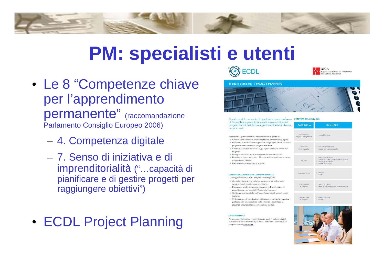#### **PM: specialisti e utenti**

- Le 8 "Competenze chiave per l'apprendimento permanente" (raccomandazione Parlamento Consiglio Europeo 2006)
	- 4. Competenza digitale
	- 7. Senso di iniziativa e di imprenditorialità ("…capacità di pianificare e di gestire progetti per raggiungere obiettivi")
- ECDL Project Planning





**SKILL SET** 

concetti chiave

lavorare per propetti

creazione di attività pianificazione e correlazione di attività

vincoli e degdlineg

note e hyperlinks

percorso critico atato di avanzamento e ripianifico

prediopopizione

ricoros

cooti

creare un nuovo progetto



Strumenti di

Project Managemen

Creazione

di un progetto

Attivit

Ribbroe e co

Monitoraggio

di progetti

Preparazione

di outputo

Questo modulo consente di candidati a usare i software overview sul syllABUS di Project Management per pianificare e monitorare i progetti, tra cui definizione e gestione di attività, risorse, CATEGORIA tempi e costi

Al termine di questo modulo il candidato sarà in grado di: · Comprendere i concetti chiave relativi alla gestione dei progetti.

- · Utilizzare un'applicazione di gestione progetti per creare un nuovo progetto e manutenere un progetto esistente
- · Creare e pianificare le attività; aggiungere scadenze e vincoli di progetto
- · Assegnare i costi: creare e assegnare risorse alle attività
- · Identificare il percorso critico; Monitorare lo stato di avanzamento e ripianificare il lavoro.
- · Preparare e stampare report e grafici,

#### QUALI SONO I VANTAGGI DI QUESTO MODULO?

I vantaggi del modulo ECDL Project Planning sono:

- · Copre le principali competenze necessarie per utilizzare le ppolicazioni di pianificazione di progetto
- · Può essere applicato a una vasta gamma di applicazioni di progettazione, sia pacchetti Vendor sia 'freeware'.
- · Certifica migliori pratiche nell'uso efficace di software di pianifipazione
- · Sviluppato con il contributo di utilizzatori, esperti della materia e professionisti provenienti da tutto il mondo - garantisce la rilevanza e l'ampiezza dei contenuti del modulo

#### **COME INIZIARE?**

Per saperne di più sui contenuti di questo modulo, sui materiali di formazione e per individuare il più vicino Test Center accreditato, si prega di visitare www.ecdl.it.